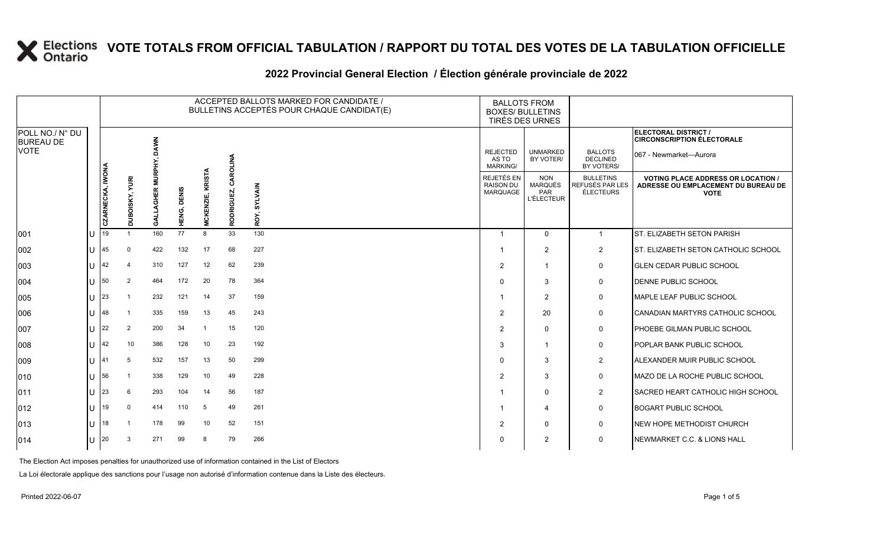#### **2022 Provincial General Election / Élection générale provinciale de 2022**

|                                     |        |                  |                |                        |                       |                                      |            | ACCEPTED BALLOTS MARKED FOR CANDIDATE /<br>BULLETINS ACCEPTÉS POUR CHAQUE CANDIDAT(E) | <b>BALLOTS FROM</b><br><b>BOXES/ BULLETINS</b>    | TIRÉS DES URNES                                          |                                                  |                                                                                                 |
|-------------------------------------|--------|------------------|----------------|------------------------|-----------------------|--------------------------------------|------------|---------------------------------------------------------------------------------------|---------------------------------------------------|----------------------------------------------------------|--------------------------------------------------|-------------------------------------------------------------------------------------------------|
| POLL NO./ N° DU<br><b>BUREAU DE</b> |        |                  |                |                        |                       |                                      |            |                                                                                       |                                                   |                                                          |                                                  | ELECTORAL DISTRICT /<br><b>CIRCONSCRIPTION ÉLECTORALE</b>                                       |
| <b>VOTE</b>                         |        |                  |                | <b>DAWN</b><br>MURPHY, |                       |                                      | CAROLINA   |                                                                                       | <b>REJECTED</b><br>AS TO<br>MARKING/              | <b>UNMARKED</b><br>BY VOTER/                             | <b>BALLOTS</b><br><b>DECLINED</b><br>BY VOTERS/  | 067 - Newmarket—Aurora                                                                          |
|                                     |        | CZARNECKA, IWONA | DUBOISKY, YURI | AGHER<br>ङ<br>उ        | <b>DENIS</b><br>HENG, | <b>KRISTA</b><br><b>CKENZI</b><br>Ž. | RODRIGUEZ, | <b>SYLVAIN</b><br>ROY,                                                                | REJETÉS EN<br><b>RAISON DU</b><br><b>MARQUAGE</b> | <b>NON</b><br><b>MARQUÉS</b><br>PAR<br><b>L'ÉLECTEUR</b> | <b>BULLETINS</b><br>REFUSÉS PAR LES<br>ÉLECTEURS | <b>VOTING PLACE ADDRESS OR LOCATION /</b><br>ADRESSE OU EMPLACEMENT DU BUREAU DE<br><b>VOTE</b> |
| 001                                 | U      | 19               |                | 160                    | 77                    | 8                                    | 33         | 130                                                                                   | -1                                                | $\mathbf{0}$                                             | $\mathbf{1}$                                     | ST. ELIZABETH SETON PARISH                                                                      |
| 002                                 | U      | 45               | $\Omega$       | 422                    | 132                   | 17                                   | 68         | 227                                                                                   |                                                   | 2                                                        | $\overline{2}$                                   | ST. ELIZABETH SETON CATHOLIC SCHOOL                                                             |
| 003                                 | ΠT     | 42               | 4              | 310                    | 127                   | 12                                   | 62         | 239                                                                                   | $\overline{2}$                                    | $\overline{1}$                                           | $\mathbf 0$                                      | <b>GLEN CEDAR PUBLIC SCHOOL</b>                                                                 |
| 004                                 | ΠL     | 50               | $\overline{2}$ | 464                    | 172                   | 20                                   | 78         | 364                                                                                   | $\Omega$                                          | 3                                                        | 0                                                | <b>DENNE PUBLIC SCHOOL</b>                                                                      |
| 005                                 | U      | <b>23</b>        |                | 232                    | 121                   | 14                                   | 37         | 159                                                                                   |                                                   | 2                                                        | 0                                                | MAPLE LEAF PUBLIC SCHOOL                                                                        |
| 006                                 | ΠL     | 148              |                | 335                    | 159                   | 13                                   | 45         | 243                                                                                   | $\overline{2}$                                    | 20                                                       | 0                                                | CANADIAN MARTYRS CATHOLIC SCHOOL                                                                |
| 007                                 | U      | 22               | 2              | 200                    | 34                    | -1                                   | 15         | 120                                                                                   | $\overline{2}$                                    | $\mathbf{0}$                                             | 0                                                | <b>PHOEBE GILMAN PUBLIC SCHOOL</b>                                                              |
| 008                                 | U      | 42               | 10             | 386                    | 128                   | 10                                   | 23         | 192                                                                                   | 3                                                 | -1                                                       | 0                                                | <b>POPLAR BANK PUBLIC SCHOOL</b>                                                                |
| 009                                 | U      | 141              |                | 532                    | 157                   | 13                                   | 50         | 299                                                                                   | $\Omega$                                          | 3                                                        | $\overline{2}$                                   | ALEXANDER MUIR PUBLIC SCHOOL                                                                    |
| $ 010\rangle$                       |        | $U$ 56           |                | 338                    | 129                   | 10                                   | 49         | 228                                                                                   | 2                                                 | 3                                                        | 0                                                | MAZO DE LA ROCHE PUBLIC SCHOOL                                                                  |
| 011                                 | $\cup$ | 23               | 6              | 293                    | 104                   | 14                                   | 56         | 187                                                                                   |                                                   | $\mathbf 0$                                              | $\overline{2}$                                   | <b>SACRED HEART CATHOLIC HIGH SCHOOL</b>                                                        |
| $ 012\rangle$                       | lu.    | 19               |                | 414                    | 110                   | 5                                    | 49         | 261                                                                                   |                                                   | 4                                                        | $\mathbf 0$                                      | <b>BOGART PUBLIC SCHOOL</b>                                                                     |
| 013                                 | lU     | 18               |                | 178                    | 99                    | 10                                   | 52         | 151                                                                                   | 2                                                 | $\mathbf{0}$                                             | 0                                                | <b>INEW HOPE METHODIST CHURCH</b>                                                               |
| $ 014\rangle$                       | U      | 20               |                | 271                    | 99                    | 8                                    | 79         | 266                                                                                   | 0                                                 | 2                                                        | $\mathbf 0$                                      | NEWMARKET C.C. & LIONS HALL                                                                     |

The Election Act imposes penalties for unauthorized use of information contained in the List of Electors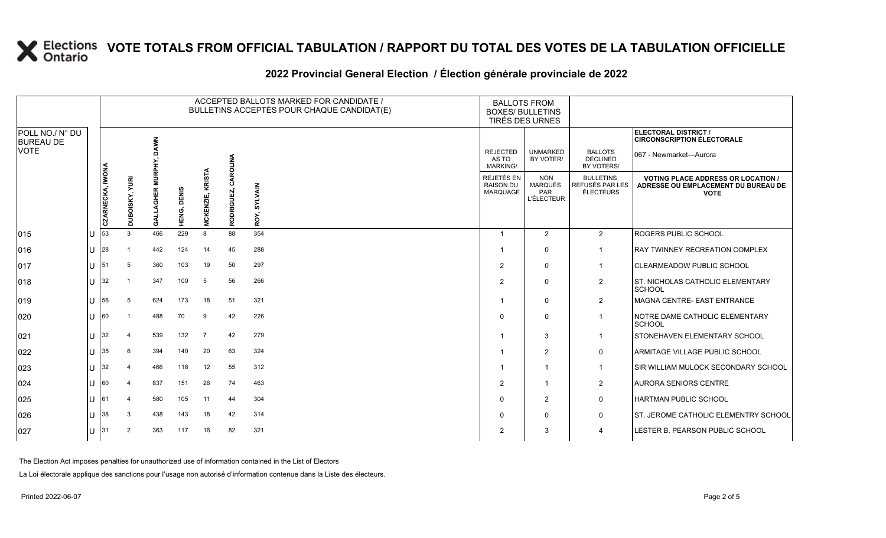### **2022 Provincial General Election / Élection générale provinciale de 2022**

|                                     |    |                  |                   |                               |                |                                  |                  | ACCEPTED BALLOTS MARKED FOR CANDIDATE /<br>BULLETINS ACCEPTÉS POUR CHAQUE CANDIDAT(E) | <b>BALLOTS FROM</b><br><b>BOXES/ BULLETINS</b><br>TIRÉS DES URNES |                                                          |                                                  |                                                                                                 |
|-------------------------------------|----|------------------|-------------------|-------------------------------|----------------|----------------------------------|------------------|---------------------------------------------------------------------------------------|-------------------------------------------------------------------|----------------------------------------------------------|--------------------------------------------------|-------------------------------------------------------------------------------------------------|
| POLL NO./ N° DU<br><b>BUREAU DE</b> |    |                  |                   |                               |                |                                  |                  |                                                                                       |                                                                   |                                                          |                                                  | ELECTORAL DISTRICT /<br><b>CIRCONSCRIPTION ÉLECTORALE</b>                                       |
| <b>VOTE</b>                         |    |                  |                   | <b>DAWN</b><br><b>MURPHY,</b> |                |                                  | CAROLINA         |                                                                                       | <b>REJECTED</b><br>AS TO<br><b>MARKING/</b>                       | <b>UNMARKED</b><br>BY VOTER/                             | <b>BALLOTS</b><br><b>DECLINED</b><br>BY VOTERS/  | 067 - Newmarket—Aurora                                                                          |
|                                     |    | CZARNECKA, IWONA | YURI<br>DUBOISKY, | œ<br>I≣HS<br>डु               | DENIS<br>HENG, | <b>KRISTA</b><br>ENZI<br>š<br>Ž. | <b>RODRIGUEZ</b> | <b>SYLVAIN</b><br>ROY,                                                                | REJETÉS EN<br><b>RAISON DU</b><br><b>MARQUAGE</b>                 | <b>NON</b><br><b>MARQUÉS</b><br>PAR<br><b>L'ÉLECTEUR</b> | <b>BULLETINS</b><br>REFUSÉS PAR LES<br>ÉLECTEURS | <b>VOTING PLACE ADDRESS OR LOCATION /</b><br>ADRESSE OU EMPLACEMENT DU BUREAU DE<br><b>VOTE</b> |
| $ 015\rangle$                       | ΙU | 53               | $\mathcal{R}$     | 466                           | 229            | 8                                | 88               | 354                                                                                   | -1                                                                | 2                                                        | $\overline{2}$                                   | <b>ROGERS PUBLIC SCHOOL</b>                                                                     |
| 016                                 | lu | 28               |                   | 442                           | 124            | 14                               | 45               | 288                                                                                   |                                                                   | $\Omega$                                                 | $\overline{1}$                                   | <b>RAY TWINNEY RECREATION COMPLEX</b>                                                           |
| $ 017\rangle$                       | ΙU | 51               | 5                 | 360                           | 103            | 19                               | 50               | 297                                                                                   | $\overline{2}$                                                    | 0                                                        | $\mathbf 1$                                      | <b>ICLEARMEADOW PUBLIC SCHOOL</b>                                                               |
| 018                                 | lu | 32               |                   | 347                           | 100            | 5                                | 56               | 266                                                                                   | $\overline{2}$                                                    | $\Omega$                                                 | $\overline{2}$                                   | ST. NICHOLAS CATHOLIC ELEMENTARY<br><b>SCHOOL</b>                                               |
| $ 019\rangle$                       | lu | 56               | 5                 | 624                           | 173            | 18                               | 51               | 321                                                                                   |                                                                   | $\Omega$                                                 | $\overline{\mathbf{c}}$                          | MAGNA CENTRE- EAST ENTRANCE                                                                     |
| 020                                 | IП | 60               |                   | 488                           | 70             | 9                                | 42               | 226                                                                                   | $\Omega$                                                          | $\Omega$                                                 | $\mathbf{1}$                                     | NOTRE DAME CATHOLIC ELEMENTARY<br><b>SCHOOL</b>                                                 |
| 021                                 | ΙU | 32               |                   | 539                           | 132            | $\overline{7}$                   | 42               | 279                                                                                   |                                                                   | 3                                                        | -1                                               | <b>STONEHAVEN ELEMENTARY SCHOOL</b>                                                             |
| 022                                 | lυ | 35               | 6                 | 394                           | 140            | 20                               | 63               | 324                                                                                   |                                                                   | 2                                                        | 0                                                | ARMITAGE VILLAGE PUBLIC SCHOOL                                                                  |
| 023                                 | IП | 32               | 4                 | 466                           | 118            | 12 <sup>2</sup>                  | 55               | 312                                                                                   | 1                                                                 | 1                                                        | $\mathbf 1$                                      | <b>ISIR WILLIAM MULOCK SECONDARY SCHOOL</b>                                                     |
| 024                                 | lu | 60               |                   | 837                           | 151            | 26                               | 74               | 463                                                                                   | $\overline{2}$                                                    | 1                                                        | $\overline{2}$                                   | <b>AURORA SENIORS CENTRE</b>                                                                    |
| 025                                 | ΙU | 61               |                   | 580                           | 105            | 11                               | 44               | 304                                                                                   | $\Omega$                                                          | 2                                                        | 0                                                | <b>HARTMAN PUBLIC SCHOOL</b>                                                                    |
| 026                                 | lU | 38               | 3                 | 438                           | 143            | 18                               | 42               | 314                                                                                   | 0                                                                 | $\Omega$                                                 | 0                                                | <b>ST. JEROME CATHOLIC ELEMENTRY SCHOOL</b>                                                     |
| 027                                 | lυ | 31               | $\overline{2}$    | 363                           | 117            | 16                               | 82               | 321                                                                                   | 2                                                                 | 3                                                        | $\overline{4}$                                   | LESTER B. PEARSON PUBLIC SCHOOL                                                                 |

The Election Act imposes penalties for unauthorized use of information contained in the List of Electors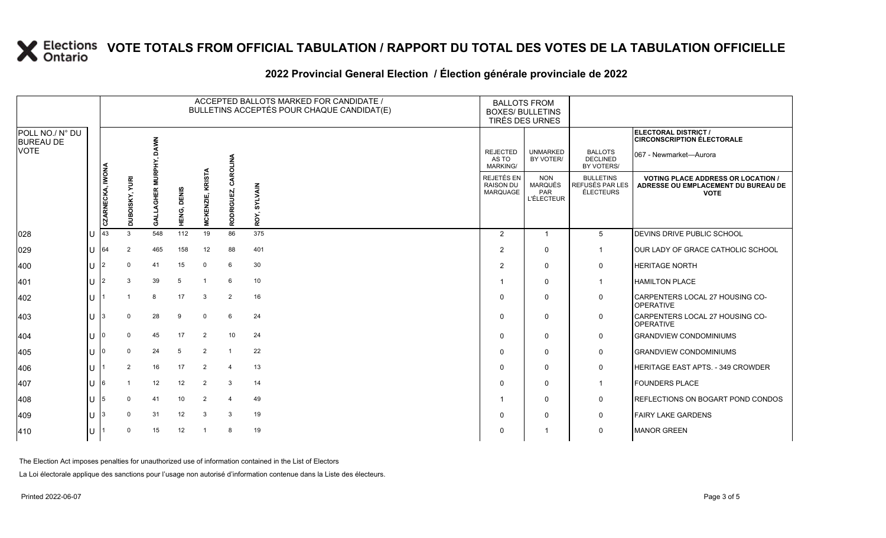### **2022 Provincial General Election / Élection générale provinciale de 2022**

|                                     |    | ACCEPTED BALLOTS MARKED FOR CANDIDATE /<br>BULLETINS ACCEPTÉS POUR CHAQUE CANDIDAT(E) |                   |                        |                |                                   |                      |                 | <b>BALLOTS FROM</b><br><b>BOXES/ BULLETINS</b><br>TIRÉS DES URNES |                                                          |                                                  |                                                                                                 |
|-------------------------------------|----|---------------------------------------------------------------------------------------|-------------------|------------------------|----------------|-----------------------------------|----------------------|-----------------|-------------------------------------------------------------------|----------------------------------------------------------|--------------------------------------------------|-------------------------------------------------------------------------------------------------|
| POLL NO./ N° DU<br><b>BUREAU DE</b> |    |                                                                                       |                   |                        |                |                                   |                      |                 |                                                                   |                                                          |                                                  | <b>ELECTORAL DISTRICT /</b><br><b>CIRCONSCRIPTION ÉLECTORALE</b>                                |
| <b>VOTE</b>                         |    |                                                                                       |                   | <b>NWNC</b><br>MURPHY, |                |                                   | ROLINA               |                 | <b>REJECTED</b><br>AS TO<br><b>MARKING/</b>                       | <b>UNMARKED</b><br>BY VOTER/                             | <b>BALLOTS</b><br><b>DECLINED</b><br>BY VOTERS/  | 067 - Newmarket-Aurora                                                                          |
|                                     |    | CZARNECKA, IWONA                                                                      | YURI<br>DUBOISKY, | œ<br>業<br>डु           | DENIS<br>HENG, | <b>KRISTA</b><br>ENZI<br>š٢<br>Š. | ड<br>RIGUEZ,<br>RODI | SYLVAIN<br>ROY, | REJETÉS EN<br><b>RAISON DU</b><br>MARQUAGE                        | <b>NON</b><br><b>MARQUÉS</b><br>PAR<br><b>L'ÉLECTEUR</b> | <b>BULLETINS</b><br>REFUSÉS PAR LES<br>ÉLECTEURS | <b>VOTING PLACE ADDRESS OR LOCATION /</b><br>ADRESSE OU EMPLACEMENT DU BUREAU DE<br><b>VOTE</b> |
| 028                                 | IΠ | 43                                                                                    | 3                 | 548                    | 112            | 19                                | 86                   | 375             | 2                                                                 | $\overline{1}$                                           | $5\overline{)}$                                  | DEVINS DRIVE PUBLIC SCHOOL                                                                      |
| 029                                 | IП | 64                                                                                    | 2                 | 465                    | 158            | 12                                | 88                   | 401             | $\overline{2}$                                                    | $\mathbf{0}$                                             | -1                                               | OUR LADY OF GRACE CATHOLIC SCHOOL                                                               |
| 400                                 | lu |                                                                                       | 0                 | 41                     | 15             | $\mathbf 0$                       | 6                    | 30              | 2                                                                 | $\mathbf{0}$                                             | $\mathbf 0$                                      | <b>HERITAGE NORTH</b>                                                                           |
| 401                                 | IΠ |                                                                                       | 3                 | 39                     | 5              | $\overline{1}$                    | 6                    | 10              | -1                                                                | $\mathbf{0}$                                             | $\mathbf{1}$                                     | <b>HAMILTON PLACE</b>                                                                           |
| 402                                 | IП |                                                                                       |                   | 8                      | 17             | 3                                 | $\overline{2}$       | 16              | $\mathbf{0}$                                                      | $\mathbf{0}$                                             | 0                                                | CARPENTERS LOCAL 27 HOUSING CO-<br><b>OPERATIVE</b>                                             |
| 403                                 | IП |                                                                                       | $\Omega$          | 28                     | 9              | $\mathbf 0$                       | 6                    | 24              | $\Omega$                                                          | $\mathbf{0}$                                             | $\mathbf 0$                                      | CARPENTERS LOCAL 27 HOUSING CO-<br><b>OPERATIVE</b>                                             |
| 404                                 | IП |                                                                                       | $\Omega$          | 45                     | 17             | 2                                 | 10                   | 24              | $\Omega$                                                          | $\mathbf{0}$                                             | $\mathsf{O}$                                     | <b>GRANDVIEW CONDOMINIUMS</b>                                                                   |
| 405                                 | IП |                                                                                       | $\Omega$          | 24                     | 5              | $\overline{2}$                    |                      | 22              | $\Omega$                                                          | $\mathbf{0}$                                             | $\mathbf 0$                                      | <b>GRANDVIEW CONDOMINIUMS</b>                                                                   |
| 406                                 | Iн |                                                                                       | 2                 | 16                     | 17             | 2                                 | $\overline{4}$       | 13              | $\mathbf{0}$                                                      | $\mathbf{0}$                                             | $\mathbf 0$                                      | <b>HERITAGE EAST APTS. - 349 CROWDER</b>                                                        |
| 407                                 | IΠ |                                                                                       |                   | 12                     | 12             | $\overline{2}$                    | 3                    | 14              | $\Omega$                                                          | $\mathbf{0}$                                             | $\mathbf{1}$                                     | <b>FOUNDERS PLACE</b>                                                                           |
| 408                                 | IП | 5                                                                                     | $\Omega$          | 41                     | 10             | $\overline{2}$                    | $\overline{4}$       | 49              |                                                                   | $\mathbf{0}$                                             | $\mathbf 0$                                      | REFLECTIONS ON BOGART POND CONDOS                                                               |
| $ 409\rangle$                       | IП |                                                                                       | $\mathbf 0$       | 31                     | 12             | 3                                 | 3                    | 19              | $\Omega$                                                          | $\mathbf{0}$                                             | $\mathbf 0$                                      | <b>FAIRY LAKE GARDENS</b>                                                                       |
| $ 410\rangle$                       | IΠ |                                                                                       | $\Omega$          | 15                     | 12             |                                   | 8                    | 19              | $\Omega$                                                          |                                                          | $\mathbf 0$                                      | <b>MANOR GREEN</b>                                                                              |

The Election Act imposes penalties for unauthorized use of information contained in the List of Electors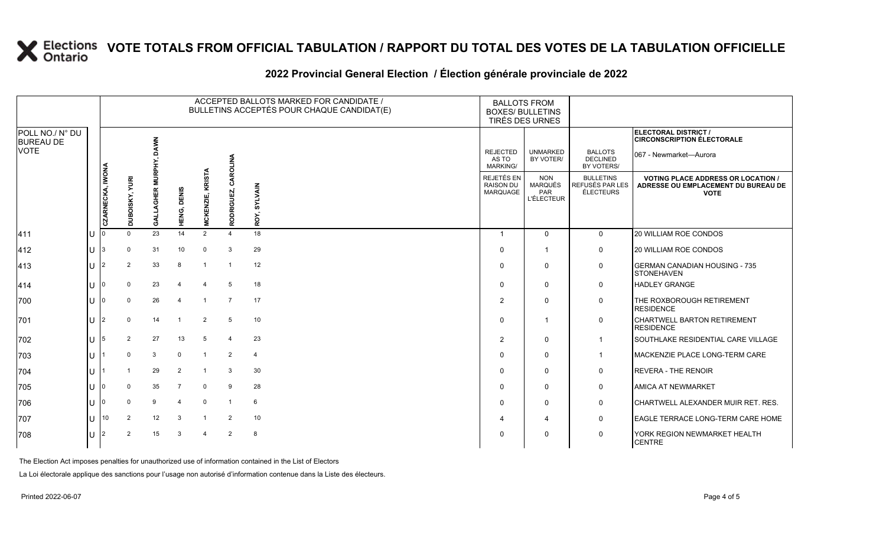### **2022 Provincial General Election / Élection générale provinciale de 2022**

|                                     |     |                  |                       |                               |                |                           |                         | ACCEPTED BALLOTS MARKED FOR CANDIDATE /<br>BULLETINS ACCEPTÉS POUR CHAQUE CANDIDAT(E) | <b>BALLOTS FROM</b><br><b>BOXES/ BULLETINS</b><br>TIRÉS DES URNES |                                                   |                                                         |                                                                                                 |
|-------------------------------------|-----|------------------|-----------------------|-------------------------------|----------------|---------------------------|-------------------------|---------------------------------------------------------------------------------------|-------------------------------------------------------------------|---------------------------------------------------|---------------------------------------------------------|-------------------------------------------------------------------------------------------------|
| POLL NO./ N° DU<br><b>BUREAU DE</b> |     |                  |                       |                               |                |                           |                         |                                                                                       |                                                                   |                                                   |                                                         | ELECTORAL DISTRICT /<br><b>CIRCONSCRIPTION ÉLECTORALE</b>                                       |
| <b>VOTE</b>                         |     |                  |                       | <b>DAWN</b><br><b>MURPHY,</b> |                |                           | CAROLINA                |                                                                                       | <b>REJECTED</b><br>AS TO<br>MARKING/                              | <b>UNMARKED</b><br>BY VOTER/                      | <b>BALLOTS</b><br><b>DECLINED</b><br>BY VOTERS/         | 067 - Newmarket—Aurora                                                                          |
|                                     |     | CZARNECKA, IWONA | <b>DUBOISKY, YURI</b> | $\alpha$<br>I⊞<br>AGH         | <b>DENIS</b>   | <b>KRISTA</b><br>CKENZIE, | ODRIGUEZ,               | <b>SYLVAIN</b>                                                                        | <b>REJETÉS EN</b><br><b>RAISON DU</b><br>MARQUAGE                 | <b>NON</b><br>MARQUÉS<br>PAR<br><b>L'ÉLECTEUR</b> | <b>BULLETINS</b><br>REFUSÉS PAR LES<br><b>ÉLECTEURS</b> | <b>VOTING PLACE ADDRESS OR LOCATION /</b><br>ADRESSE OU EMPLACEMENT DU BUREAU DE<br><b>VOTE</b> |
|                                     |     |                  |                       | डू                            | ENG,<br>T.     | Ξ                         | œ                       | ROY,                                                                                  |                                                                   |                                                   |                                                         |                                                                                                 |
| 411                                 | lU. |                  | $\mathbf{0}$          | 23                            | 14             | 2                         | $\overline{4}$          | 18                                                                                    | $\overline{1}$                                                    | $\Omega$                                          | $\mathbf 0$                                             | <b>20 WILLIAM ROE CONDOS</b>                                                                    |
| 412                                 | lU. | 13               | 0                     | 31                            | 10             | 0                         | 3                       | 29                                                                                    | $\Omega$                                                          |                                                   | 0                                                       | <b>20 WILLIAM ROE CONDOS</b>                                                                    |
| 413                                 | U   | 12               | 2                     | 33                            | 8              | $\mathbf{1}$              | $\overline{1}$          | 12                                                                                    | $\Omega$                                                          | $\mathbf{0}$                                      | 0                                                       | <b>IGERMAN CANADIAN HOUSING - 735</b><br><b>STONEHAVEN</b>                                      |
| 414                                 | U   |                  | $\Omega$              | 23                            | 4              | $\overline{4}$            | 5                       | 18                                                                                    | $\Omega$                                                          | $\mathbf 0$                                       | 0                                                       | <b>HADLEY GRANGE</b>                                                                            |
| 700                                 | ΙU  |                  | $\Omega$              | 26                            | 4              |                           | $\overline{7}$          | 17                                                                                    | 2                                                                 | $\Omega$                                          | 0                                                       | THE ROXBOROUGH RETIREMENT<br><b>RESIDENCE</b>                                                   |
| 701                                 | U   |                  | $\Omega$              | 14                            |                | $\overline{2}$            | 5                       | 10                                                                                    | $\Omega$                                                          |                                                   | 0                                                       | <b>CHARTWELL BARTON RETIREMENT</b><br><b>RESIDENCE</b>                                          |
| 702                                 | U   | 15               | 2                     | 27                            | 13             | 5                         | $\overline{\mathbf{4}}$ | 23                                                                                    | $\overline{2}$                                                    | $\Omega$                                          | $\overline{1}$                                          | <b>SOUTHLAKE RESIDENTIAL CARE VILLAGE</b>                                                       |
| 703                                 | U   |                  | $\Omega$              | 3                             | $\Omega$       |                           | $\overline{2}$          | 4                                                                                     | $\Omega$                                                          | $\mathbf{0}$                                      | $\mathbf 1$                                             | <b>IMACKENZIE PLACE LONG-TERM CARE</b>                                                          |
| 704                                 | lU. |                  |                       | 29                            | 2              |                           | 3                       | 30                                                                                    | $\Omega$                                                          | $\mathbf{0}$                                      | 0                                                       | <b>REVERA - THE RENOIR</b>                                                                      |
| 705                                 | U   |                  |                       | 35                            | $\overline{7}$ | $\mathbf 0$               | 9                       | 28                                                                                    | $\Omega$                                                          | $\Omega$                                          | 0                                                       | <b>AMICA AT NEWMARKET</b>                                                                       |
| 706                                 | U   |                  |                       | 9                             | 4              | $\mathbf 0$               | -1                      | 6                                                                                     | $\Omega$                                                          | $\mathbf{0}$                                      | 0                                                       | CHARTWELL ALEXANDER MUIR RET. RES.                                                              |
| 707                                 | U   | 10               | 2                     | 12                            | 3              | $\overline{\mathbf{1}}$   | 2                       | 10                                                                                    | 4                                                                 | 4                                                 | 0                                                       | <b>EAGLE TERRACE LONG-TERM CARE HOME</b>                                                        |
| 708                                 | ΠT  |                  | $\overline{2}$        | 15                            | 3              | $\overline{4}$            | $\overline{2}$          | 8                                                                                     | 0                                                                 | $\mathbf{0}$                                      | 0                                                       | YORK REGION NEWMARKET HEALTH<br><b>CENTRE</b>                                                   |

The Election Act imposes penalties for unauthorized use of information contained in the List of Electors